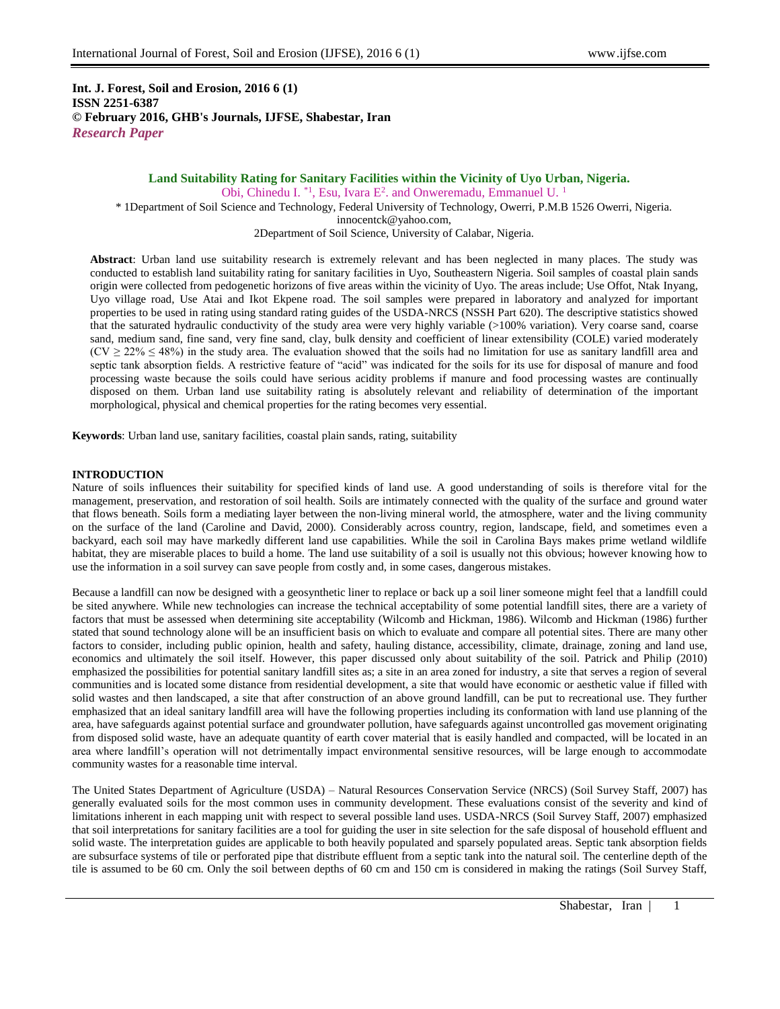**Int. J. Forest, Soil and Erosion, 2016 6 (1) ISSN 2251-6387 © February 2016, GHB's Journals, IJFSE, Shabestar, Iran** *Research Paper*

# **Land Suitability Rating for Sanitary Facilities within the Vicinity of Uyo Urban, Nigeria.** Obi, Chinedu I.<sup>\*1</sup>, Esu, Ivara  $E^2$ . and Onweremadu, Emmanuel U.<sup>1</sup>

\* 1Department of Soil Science and Technology, Federal University of Technology, Owerri, P.M.B 1526 Owerri, Nigeria. [innocentck@yahoo.com,](mailto:innocentck@yahoo.com) 2Department of Soil Science, University of Calabar, Nigeria.

**Abstract**: Urban land use suitability research is extremely relevant and has been neglected in many places. The study was conducted to establish land suitability rating for sanitary facilities in Uyo, Southeastern Nigeria. Soil samples of coastal plain sands origin were collected from pedogenetic horizons of five areas within the vicinity of Uyo. The areas include; Use Offot, Ntak Inyang, Uyo village road, Use Atai and Ikot Ekpene road. The soil samples were prepared in laboratory and analyzed for important properties to be used in rating using standard rating guides of the USDA-NRCS (NSSH Part 620). The descriptive statistics showed that the saturated hydraulic conductivity of the study area were very highly variable (>100% variation). Very coarse sand, coarse sand, medium sand, fine sand, very fine sand, clay, bulk density and coefficient of linear extensibility (COLE) varied moderately  $(CV \ge 22\% \le 48\%)$  in the study area. The evaluation showed that the soils had no limitation for use as sanitary landfill area and septic tank absorption fields. A restrictive feature of "acid" was indicated for the soils for its use for disposal of manure and food processing waste because the soils could have serious acidity problems if manure and food processing wastes are continually disposed on them. Urban land use suitability rating is absolutely relevant and reliability of determination of the important morphological, physical and chemical properties for the rating becomes very essential.

**Keywords**: Urban land use, sanitary facilities, coastal plain sands, rating, suitability

# **INTRODUCTION**

Nature of soils influences their suitability for specified kinds of land use. A good understanding of soils is therefore vital for the management, preservation, and restoration of soil health. Soils are intimately connected with the quality of the surface and ground water that flows beneath. Soils form a mediating layer between the non-living mineral world, the atmosphere, water and the living community on the surface of the land (Caroline and David, 2000). Considerably across country, region, landscape, field, and sometimes even a backyard, each soil may have markedly different land use capabilities. While the soil in Carolina Bays makes prime wetland wildlife habitat, they are miserable places to build a home. The land use suitability of a soil is usually not this obvious; however knowing how to use the information in a soil survey can save people from costly and, in some cases, dangerous mistakes.

Because a landfill can now be designed with a geosynthetic liner to replace or back up a soil liner someone might feel that a landfill could be sited anywhere. While new technologies can increase the technical acceptability of some potential landfill sites, there are a variety of factors that must be assessed when determining site acceptability (Wilcomb and Hickman, 1986). Wilcomb and Hickman (1986) further stated that sound technology alone will be an insufficient basis on which to evaluate and compare all potential sites. There are many other factors to consider, including public opinion, health and safety, hauling distance, accessibility, climate, drainage, zoning and land use, economics and ultimately the soil itself. However, this paper discussed only about suitability of the soil. Patrick and Philip (2010) emphasized the possibilities for potential sanitary landfill sites as; a site in an area zoned for industry, a site that serves a region of several communities and is located some distance from residential development, a site that would have economic or aesthetic value if filled with solid wastes and then landscaped, a site that after construction of an above ground landfill, can be put to recreational use. They further emphasized that an ideal sanitary landfill area will have the following properties including its conformation with land use planning of the area, have safeguards against potential surface and groundwater pollution, have safeguards against uncontrolled gas movement originating from disposed solid waste, have an adequate quantity of earth cover material that is easily handled and compacted, will be located in an area where landfill's operation will not detrimentally impact environmental sensitive resources, will be large enough to accommodate community wastes for a reasonable time interval.

The United States Department of Agriculture (USDA) – Natural Resources Conservation Service (NRCS) (Soil Survey Staff, 2007) has generally evaluated soils for the most common uses in community development. These evaluations consist of the severity and kind of limitations inherent in each mapping unit with respect to several possible land uses. USDA-NRCS (Soil Survey Staff, 2007) emphasized that soil interpretations for sanitary facilities are a tool for guiding the user in site selection for the safe disposal of household effluent and solid waste. The interpretation guides are applicable to both heavily populated and sparsely populated areas. Septic tank absorption fields are subsurface systems of tile or perforated pipe that distribute effluent from a septic tank into the natural soil. The centerline depth of the tile is assumed to be 60 cm. Only the soil between depths of 60 cm and 150 cm is considered in making the ratings (Soil Survey Staff,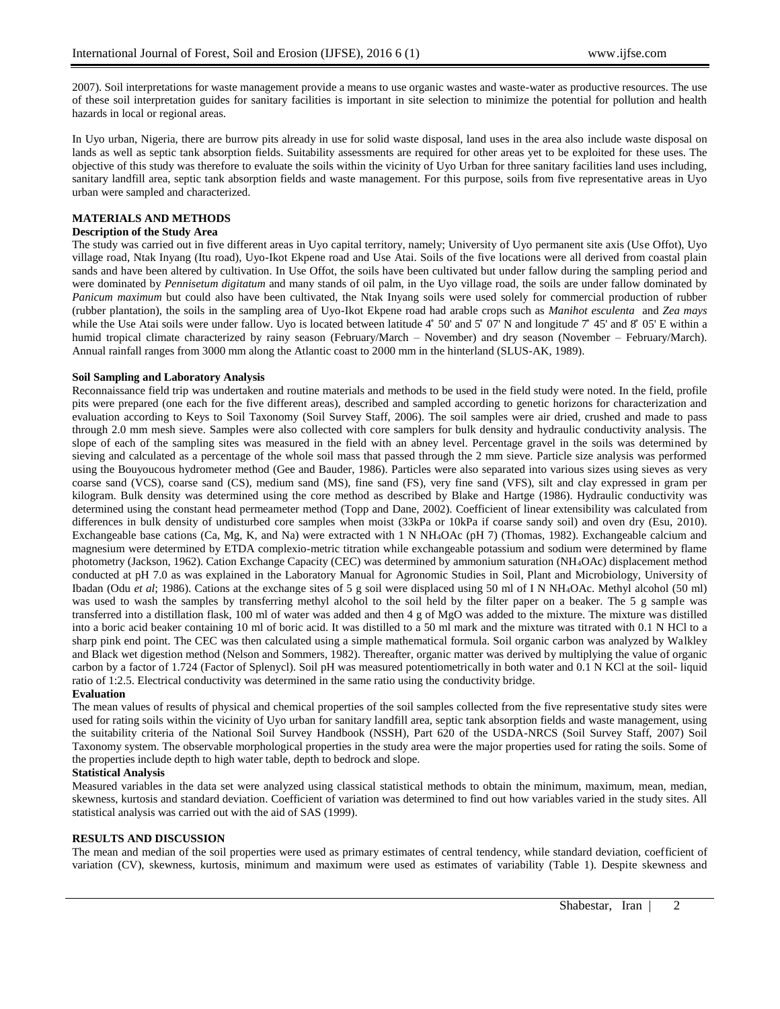2007). Soil interpretations for waste management provide a means to use organic wastes and waste-water as productive resources. The use of these soil interpretation guides for sanitary facilities is important in site selection to minimize the potential for pollution and health hazards in local or regional areas.

In Uyo urban, Nigeria, there are burrow pits already in use for solid waste disposal, land uses in the area also include waste disposal on lands as well as septic tank absorption fields. Suitability assessments are required for other areas yet to be exploited for these uses. The objective of this study was therefore to evaluate the soils within the vicinity of Uyo Urban for three sanitary facilities land uses including, sanitary landfill area, septic tank absorption fields and waste management. For this purpose, soils from five representative areas in Uyo urban were sampled and characterized.

# **MATERIALS AND METHODS**

# **Description of the Study Area**

The study was carried out in five different areas in Uyo capital territory, namely; University of Uyo permanent site axis (Use Offot), Uyo village road, Ntak Inyang (Itu road), Uyo-Ikot Ekpene road and Use Atai. Soils of the five locations were all derived from coastal plain sands and have been altered by cultivation. In Use Offot, the soils have been cultivated but under fallow during the sampling period and were dominated by *Pennisetum digitatum* and many stands of oil palm, in the Uyo village road, the soils are under fallow dominated by *Panicum maximum* but could also have been cultivated, the Ntak Inyang soils were used solely for commercial production of rubber (rubber plantation), the soils in the sampling area of Uyo-Ikot Ekpene road had arable crops such as *Manihot esculenta* and *Zea mays*  while the Use Atai soils were under fallow. Uyo is located between latitude  $4^{\circ}$  50' and  $5^{\circ}$  07' N and longitude  $7^{\circ}$  45' and 8 $^{\circ}$  05' E within a humid tropical climate characterized by rainy season (February/March – November) and dry season (November – February/March). Annual rainfall ranges from 3000 mm along the Atlantic coast to 2000 mm in the hinterland (SLUS-AK, 1989).

## **Soil Sampling and Laboratory Analysis**

Reconnaissance field trip was undertaken and routine materials and methods to be used in the field study were noted. In the field, profile pits were prepared (one each for the five different areas), described and sampled according to genetic horizons for characterization and evaluation according to Keys to Soil Taxonomy (Soil Survey Staff, 2006). The soil samples were air dried, crushed and made to pass through 2.0 mm mesh sieve. Samples were also collected with core samplers for bulk density and hydraulic conductivity analysis. The slope of each of the sampling sites was measured in the field with an abney level. Percentage gravel in the soils was determined by sieving and calculated as a percentage of the whole soil mass that passed through the 2 mm sieve. Particle size analysis was performed using the Bouyoucous hydrometer method (Gee and Bauder, 1986). Particles were also separated into various sizes using sieves as very coarse sand (VCS), coarse sand (CS), medium sand (MS), fine sand (FS), very fine sand (VFS), silt and clay expressed in gram per kilogram. Bulk density was determined using the core method as described by Blake and Hartge (1986). Hydraulic conductivity was determined using the constant head permeameter method (Topp and Dane, 2002). Coefficient of linear extensibility was calculated from differences in bulk density of undisturbed core samples when moist (33kPa or 10kPa if coarse sandy soil) and oven dry (Esu, 2010). Exchangeable base cations (Ca, Mg, K, and Na) were extracted with 1 N NH4OAc (pH 7) (Thomas, 1982). Exchangeable calcium and magnesium were determined by ETDA complexio-metric titration while exchangeable potassium and sodium were determined by flame photometry (Jackson, 1962). Cation Exchange Capacity (CEC) was determined by ammonium saturation (NH4OAc) displacement method conducted at pH 7.0 as was explained in the Laboratory Manual for Agronomic Studies in Soil, Plant and Microbiology, University of Ibadan (Odu *et al*; 1986). Cations at the exchange sites of 5 g soil were displaced using 50 ml of I N NH4OAc. Methyl alcohol (50 ml) was used to wash the samples by transferring methyl alcohol to the soil held by the filter paper on a beaker. The 5 g sample was transferred into a distillation flask, 100 ml of water was added and then 4 g of MgO was added to the mixture. The mixture was distilled into a boric acid beaker containing 10 ml of boric acid. It was distilled to a 50 ml mark and the mixture was titrated with 0.1 N HCl to a sharp pink end point. The CEC was then calculated using a simple mathematical formula. Soil organic carbon was analyzed by Walkley and Black wet digestion method (Nelson and Sommers, 1982). Thereafter, organic matter was derived by multiplying the value of organic carbon by a factor of 1.724 (Factor of Splenycl). Soil pH was measured potentiometrically in both water and 0.1 N KCl at the soil- liquid ratio of 1:2.5. Electrical conductivity was determined in the same ratio using the conductivity bridge. **Evaluation**

The mean values of results of physical and chemical properties of the soil samples collected from the five representative study sites were used for rating soils within the vicinity of Uyo urban for sanitary landfill area, septic tank absorption fields and waste management, using the suitability criteria of the National Soil Survey Handbook (NSSH), Part 620 of the USDA-NRCS (Soil Survey Staff, 2007) Soil Taxonomy system. The observable morphological properties in the study area were the major properties used for rating the soils. Some of the properties include depth to high water table, depth to bedrock and slope.

# **Statistical Analysis**

Measured variables in the data set were analyzed using classical statistical methods to obtain the minimum, maximum, mean, median, skewness, kurtosis and standard deviation. Coefficient of variation was determined to find out how variables varied in the study sites. All statistical analysis was carried out with the aid of SAS (1999).

#### **RESULTS AND DISCUSSION**

The mean and median of the soil properties were used as primary estimates of central tendency, while standard deviation, coefficient of variation (CV), skewness, kurtosis, minimum and maximum were used as estimates of variability (Table 1). Despite skewness and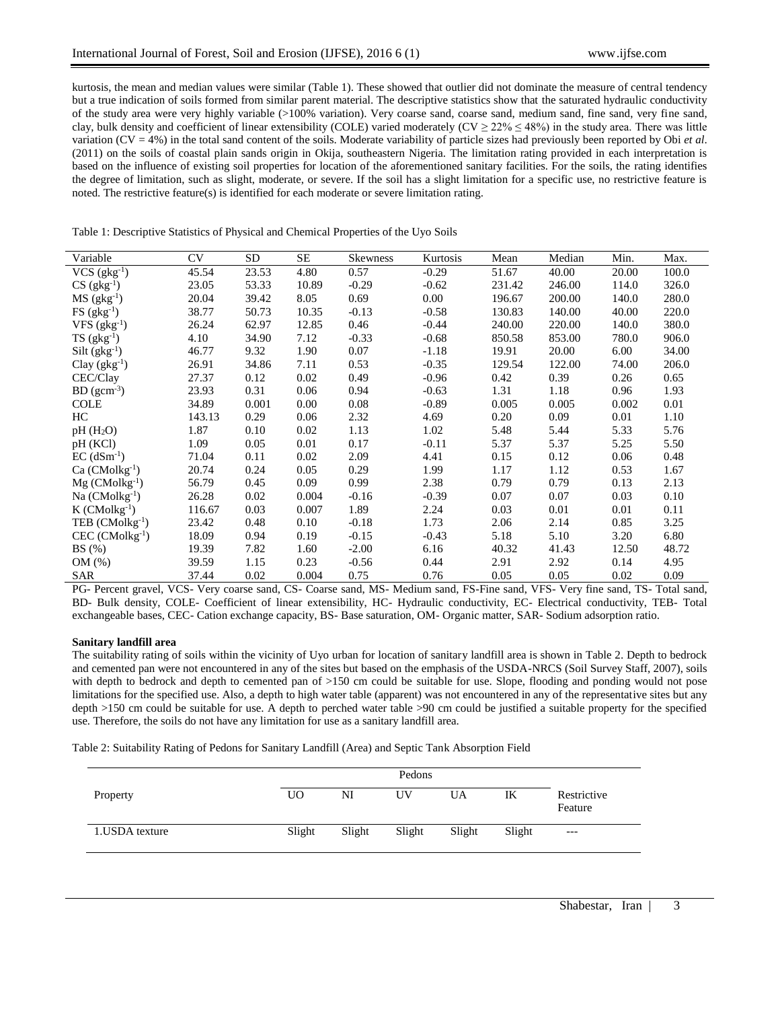kurtosis, the mean and median values were similar (Table 1). These showed that outlier did not dominate the measure of central tendency but a true indication of soils formed from similar parent material. The descriptive statistics show that the saturated hydraulic conductivity of the study area were very highly variable (>100% variation). Very coarse sand, coarse sand, medium sand, fine sand, very fine sand, clay, bulk density and coefficient of linear extensibility (COLE) varied moderately (CV  $\geq$  22%  $\leq$  48%) in the study area. There was little variation (CV = 4%) in the total sand content of the soils. Moderate variability of particle sizes had previously been reported by Obi *et al*. (2011) on the soils of coastal plain sands origin in Okija, southeastern Nigeria. The limitation rating provided in each interpretation is based on the influence of existing soil properties for location of the aforementioned sanitary facilities. For the soils, the rating identifies the degree of limitation, such as slight, moderate, or severe. If the soil has a slight limitation for a specific use, no restrictive feature is noted. The restrictive feature(s) is identified for each moderate or severe limitation rating.

|  |  | Table 1: Descriptive Statistics of Physical and Chemical Properties of the Uyo Soils |
|--|--|--------------------------------------------------------------------------------------|
|  |  |                                                                                      |

| Variable                      | CV     | SD.   | SE    | Skewness | Kurtosis | Mean   | Median | Min.  | Max.  |
|-------------------------------|--------|-------|-------|----------|----------|--------|--------|-------|-------|
| $VCS$ (gkg <sup>-1</sup> )    | 45.54  | 23.53 | 4.80  | 0.57     | $-0.29$  | 51.67  | 40.00  | 20.00 | 100.0 |
| $CS$ (gkg <sup>-1</sup> )     | 23.05  | 53.33 | 10.89 | $-0.29$  | $-0.62$  | 231.42 | 246.00 | 114.0 | 326.0 |
| $MS$ (gkg <sup>-1</sup> )     | 20.04  | 39.42 | 8.05  | 0.69     | 0.00     | 196.67 | 200.00 | 140.0 | 280.0 |
| $FS$ (gkg <sup>-1</sup> )     | 38.77  | 50.73 | 10.35 | $-0.13$  | $-0.58$  | 130.83 | 140.00 | 40.00 | 220.0 |
| $VFS (gkg-1)$                 | 26.24  | 62.97 | 12.85 | 0.46     | $-0.44$  | 240.00 | 220.00 | 140.0 | 380.0 |
| $TS$ (gkg <sup>-1</sup> )     | 4.10   | 34.90 | 7.12  | $-0.33$  | $-0.68$  | 850.58 | 853.00 | 780.0 | 906.0 |
| $Silt (gkg-1)$                | 46.77  | 9.32  | 1.90  | 0.07     | $-1.18$  | 19.91  | 20.00  | 6.00  | 34.00 |
| Clay $(gkg^{-1})$             | 26.91  | 34.86 | 7.11  | 0.53     | $-0.35$  | 129.54 | 122.00 | 74.00 | 206.0 |
| CEC/Clay                      | 27.37  | 0.12  | 0.02  | 0.49     | $-0.96$  | 0.42   | 0.39   | 0.26  | 0.65  |
| $BD (gcm-3)$                  | 23.93  | 0.31  | 0.06  | 0.94     | $-0.63$  | 1.31   | 1.18   | 0.96  | 1.93  |
| <b>COLE</b>                   | 34.89  | 0.001 | 0.00  | 0.08     | $-0.89$  | 0.005  | 0.005  | 0.002 | 0.01  |
| HC.                           | 143.13 | 0.29  | 0.06  | 2.32     | 4.69     | 0.20   | 0.09   | 0.01  | 1.10  |
| $pH(H_2O)$                    | 1.87   | 0.10  | 0.02  | 1.13     | 1.02     | 5.48   | 5.44   | 5.33  | 5.76  |
| pH (KCI)                      | 1.09   | 0.05  | 0.01  | 0.17     | $-0.11$  | 5.37   | 5.37   | 5.25  | 5.50  |
| $EC$ (dSm <sup>-1</sup> )     | 71.04  | 0.11  | 0.02  | 2.09     | 4.41     | 0.15   | 0.12   | 0.06  | 0.48  |
| $Ca (CMolkg-1)$               | 20.74  | 0.24  | 0.05  | 0.29     | 1.99     | 1.17   | 1.12   | 0.53  | 1.67  |
| $Mg$ (CMolkg <sup>-1</sup> )  | 56.79  | 0.45  | 0.09  | 0.99     | 2.38     | 0.79   | 0.79   | 0.13  | 2.13  |
| $Na$ (CMolkg <sup>-1</sup> )  | 26.28  | 0.02  | 0.004 | $-0.16$  | $-0.39$  | 0.07   | 0.07   | 0.03  | 0.10  |
| $K$ (CMolkg <sup>-1</sup> )   | 116.67 | 0.03  | 0.007 | 1.89     | 2.24     | 0.03   | 0.01   | 0.01  | 0.11  |
| TEB $(CMolkg^{-1})$           | 23.42  | 0.48  | 0.10  | $-0.18$  | 1.73     | 2.06   | 2.14   | 0.85  | 3.25  |
| $CEC$ (CMolkg <sup>-1</sup> ) | 18.09  | 0.94  | 0.19  | $-0.15$  | $-0.43$  | 5.18   | 5.10   | 3.20  | 6.80  |
| BS(%)                         | 19.39  | 7.82  | 1.60  | $-2.00$  | 6.16     | 40.32  | 41.43  | 12.50 | 48.72 |
| OM(%)                         | 39.59  | 1.15  | 0.23  | $-0.56$  | 0.44     | 2.91   | 2.92   | 0.14  | 4.95  |
| <b>SAR</b>                    | 37.44  | 0.02  | 0.004 | 0.75     | 0.76     | 0.05   | 0.05   | 0.02  | 0.09  |

PG- Percent gravel, VCS- Very coarse sand, CS- Coarse sand, MS- Medium sand, FS-Fine sand, VFS- Very fine sand, TS- Total sand, BD- Bulk density, COLE- Coefficient of linear extensibility, HC- Hydraulic conductivity, EC- Electrical conductivity, TEB- Total exchangeable bases, CEC- Cation exchange capacity, BS- Base saturation, OM- Organic matter, SAR- Sodium adsorption ratio.

# **Sanitary landfill area**

The suitability rating of soils within the vicinity of Uyo urban for location of sanitary landfill area is shown in Table 2. Depth to bedrock and cemented pan were not encountered in any of the sites but based on the emphasis of the USDA-NRCS (Soil Survey Staff, 2007), soils with depth to bedrock and depth to cemented pan of >150 cm could be suitable for use. Slope, flooding and ponding would not pose limitations for the specified use. Also, a depth to high water table (apparent) was not encountered in any of the representative sites but any depth >150 cm could be suitable for use. A depth to perched water table >90 cm could be justified a suitable property for the specified use. Therefore, the soils do not have any limitation for use as a sanitary landfill area.

Table 2: Suitability Rating of Pedons for Sanitary Landfill (Area) and Septic Tank Absorption Field

| Property        | U <sub>O</sub> | NI     | UV     | UA     | IK     | Restrictive<br>Feature |
|-----------------|----------------|--------|--------|--------|--------|------------------------|
| 1. USDA texture | Slight         | Slight | Slight | Slight | Slight | $---$                  |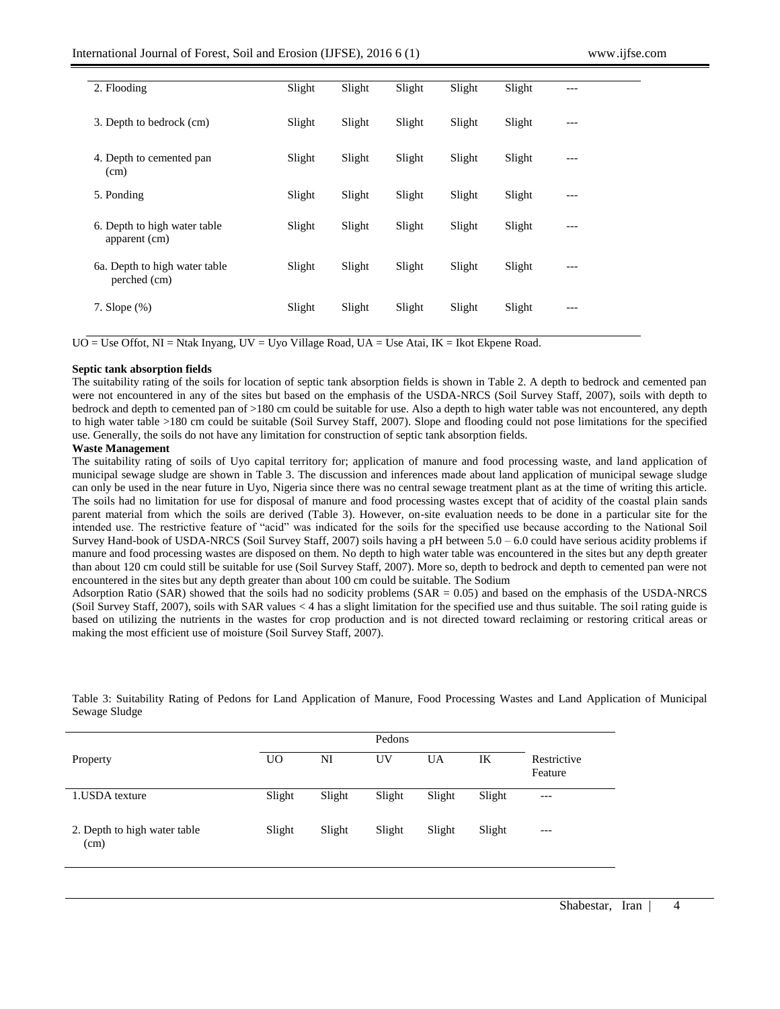| 2. Flooding                                   | Slight | Slight | Slight | Slight | Slight | --- |
|-----------------------------------------------|--------|--------|--------|--------|--------|-----|
| 3. Depth to bedrock (cm)                      | Slight | Slight | Slight | Slight | Slight | --- |
| 4. Depth to cemented pan<br>(cm)              | Slight | Slight | Slight | Slight | Slight | --- |
| 5. Ponding                                    | Slight | Slight | Slight | Slight | Slight | --- |
| 6. Depth to high water table<br>apparent (cm) | Slight | Slight | Slight | Slight | Slight | --- |
| 6a. Depth to high water table<br>perched (cm) | Slight | Slight | Slight | Slight | Slight | --- |
| 7. Slope $(\%)$                               | Slight | Slight | Slight | Slight | Slight | --- |

 $UO = Use$  Offot,  $NI = N$ tak Inyang,  $UV = U$ yo Village Road,  $UA = Use$  Atai,  $IK = I$ kot Ekpene Road.

## **Septic tank absorption fields**

The suitability rating of the soils for location of septic tank absorption fields is shown in Table 2. A depth to bedrock and cemented pan were not encountered in any of the sites but based on the emphasis of the USDA-NRCS (Soil Survey Staff, 2007), soils with depth to bedrock and depth to cemented pan of >180 cm could be suitable for use. Also a depth to high water table was not encountered, any depth to high water table >180 cm could be suitable (Soil Survey Staff, 2007). Slope and flooding could not pose limitations for the specified use. Generally, the soils do not have any limitation for construction of septic tank absorption fields.

## **Waste Management**

The suitability rating of soils of Uyo capital territory for; application of manure and food processing waste, and land application of municipal sewage sludge are shown in Table 3. The discussion and inferences made about land application of municipal sewage sludge can only be used in the near future in Uyo, Nigeria since there was no central sewage treatment plant as at the time of writing this article. The soils had no limitation for use for disposal of manure and food processing wastes except that of acidity of the coastal plain sands parent material from which the soils are derived (Table 3). However, on-site evaluation needs to be done in a particular site for the intended use. The restrictive feature of "acid" was indicated for the soils for the specified use because according to the National Soil Survey Hand-book of USDA-NRCS (Soil Survey Staff, 2007) soils having a pH between 5.0 – 6.0 could have serious acidity problems if manure and food processing wastes are disposed on them. No depth to high water table was encountered in the sites but any depth greater than about 120 cm could still be suitable for use (Soil Survey Staff, 2007). More so, depth to bedrock and depth to cemented pan were not encountered in the sites but any depth greater than about 100 cm could be suitable. The Sodium

Adsorption Ratio (SAR) showed that the soils had no sodicity problems ( $SAR = 0.05$ ) and based on the emphasis of the USDA-NRCS (Soil Survey Staff, 2007), soils with SAR values < 4 has a slight limitation for the specified use and thus suitable. The soil rating guide is based on utilizing the nutrients in the wastes for crop production and is not directed toward reclaiming or restoring critical areas or making the most efficient use of moisture (Soil Survey Staff, 2007).

|                                      |        |        | Pedons |           |        |                        |
|--------------------------------------|--------|--------|--------|-----------|--------|------------------------|
| Property                             | UO     | NI     | UV     | <b>UA</b> | IK     | Restrictive<br>Feature |
| 1. USDA texture                      | Slight | Slight | Slight | Slight    | Slight | $---$                  |
| 2. Depth to high water table<br>(cm) | Slight | Slight | Slight | Slight    | Slight | ---                    |

Table 3: Suitability Rating of Pedons for Land Application of Manure, Food Processing Wastes and Land Application of Municipal Sewage Sludge